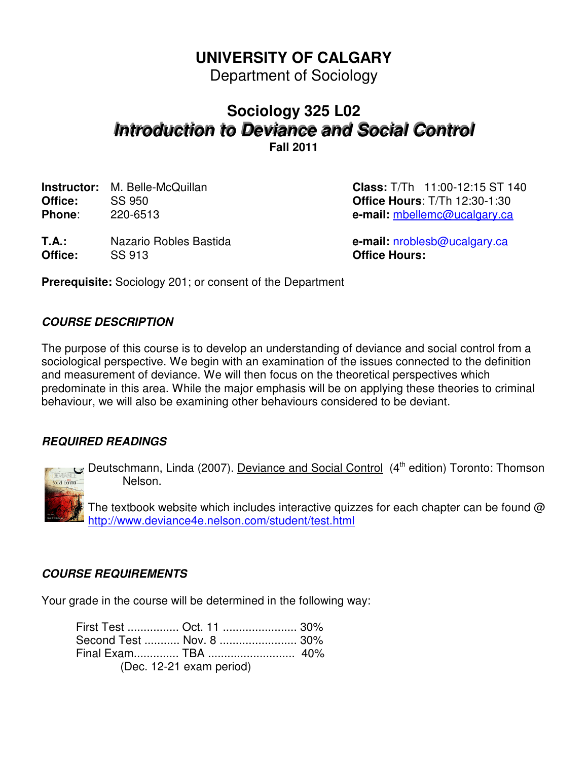# **UNIVERSITY OF CALGARY**

Department of Sociology

# **Sociology 325 L02 Introduction to Deviance and Social Control**

**Fall 2011**

**Office:** SS 950 **Office Hours**: T/Th 12:30-1:30 **Phone**: 220-6513 **e-mail:** mbellemc@ucalgary.ca

**Instructor:** M. Belle-McQuillan **Class:** T/Th 11:00-12:15 ST 140

**T.A.:** Nazario Robles Bastida **e-mail:** nroblesb@ucalgary.ca **Office:** SS 913 **Office Hours:**

**Prerequisite:** Sociology 201; or consent of the Department

# **COURSE DESCRIPTION**

The purpose of this course is to develop an understanding of deviance and social control from a sociological perspective. We begin with an examination of the issues connected to the definition and measurement of deviance. We will then focus on the theoretical perspectives which predominate in this area. While the major emphasis will be on applying these theories to criminal behaviour, we will also be examining other behaviours considered to be deviant.

# **REQUIRED READINGS**



Deutschmann, Linda (2007). Deviance and Social Control (4<sup>th</sup> edition) Toronto: Thomson Nelson.

The textbook website which includes interactive quizzes for each chapter can be found  $\omega$ http://www.deviance4e.nelson.com/student/test.html

# **COURSE REQUIREMENTS**

Your grade in the course will be determined in the following way:

| First Test  Oct. 11  30% |  |
|--------------------------|--|
| Second Test  Nov. 8  30% |  |
|                          |  |
| (Dec. 12-21 exam period) |  |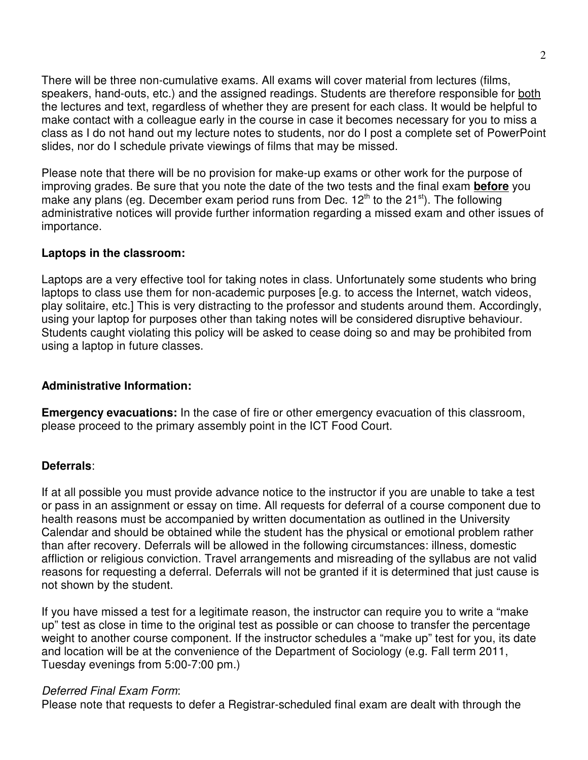There will be three non-cumulative exams. All exams will cover material from lectures (films, speakers, hand-outs, etc.) and the assigned readings. Students are therefore responsible for both the lectures and text, regardless of whether they are present for each class. It would be helpful to make contact with a colleague early in the course in case it becomes necessary for you to miss a class as I do not hand out my lecture notes to students, nor do I post a complete set of PowerPoint slides, nor do I schedule private viewings of films that may be missed.

Please note that there will be no provision for make-up exams or other work for the purpose of improving grades. Be sure that you note the date of the two tests and the final exam **before** you make any plans (eq. December exam period runs from Dec.  $12<sup>th</sup>$  to the  $21<sup>st</sup>$ ). The following administrative notices will provide further information regarding a missed exam and other issues of importance.

#### **Laptops in the classroom:**

Laptops are a very effective tool for taking notes in class. Unfortunately some students who bring laptops to class use them for non-academic purposes [e.g. to access the Internet, watch videos, play solitaire, etc.] This is very distracting to the professor and students around them. Accordingly, using your laptop for purposes other than taking notes will be considered disruptive behaviour. Students caught violating this policy will be asked to cease doing so and may be prohibited from using a laptop in future classes.

### **Administrative Information:**

**Emergency evacuations:** In the case of fire or other emergency evacuation of this classroom, please proceed to the primary assembly point in the ICT Food Court.

#### **Deferrals**:

If at all possible you must provide advance notice to the instructor if you are unable to take a test or pass in an assignment or essay on time. All requests for deferral of a course component due to health reasons must be accompanied by written documentation as outlined in the University Calendar and should be obtained while the student has the physical or emotional problem rather than after recovery. Deferrals will be allowed in the following circumstances: illness, domestic affliction or religious conviction. Travel arrangements and misreading of the syllabus are not valid reasons for requesting a deferral. Deferrals will not be granted if it is determined that just cause is not shown by the student.

If you have missed a test for a legitimate reason, the instructor can require you to write a "make up" test as close in time to the original test as possible or can choose to transfer the percentage weight to another course component. If the instructor schedules a "make up" test for you, its date and location will be at the convenience of the Department of Sociology (e.g. Fall term 2011, Tuesday evenings from 5:00-7:00 pm.)

#### Deferred Final Exam Form:

Please note that requests to defer a Registrar-scheduled final exam are dealt with through the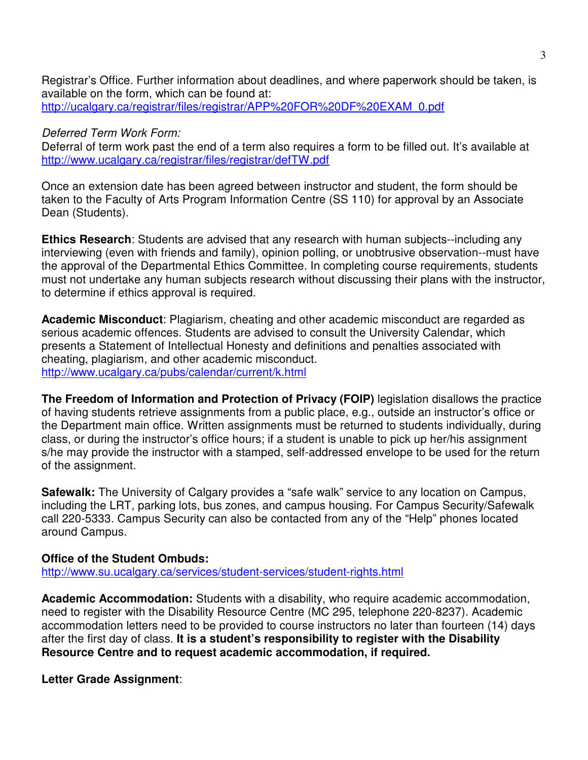Registrar's Office. Further information about deadlines, and where paperwork should be taken, is available on the form, which can be found at: http://ucalgary.ca/registrar/files/registrar/APP%20FOR%20DF%20EXAM\_0.pdf

#### Deferred Term Work Form:

Deferral of term work past the end of a term also requires a form to be filled out. It's available at http://www.ucalgary.ca/registrar/files/registrar/defTW.pdf

Once an extension date has been agreed between instructor and student, the form should be taken to the Faculty of Arts Program Information Centre (SS 110) for approval by an Associate Dean (Students).

**Ethics Research**: Students are advised that any research with human subjects--including any interviewing (even with friends and family), opinion polling, or unobtrusive observation--must have the approval of the Departmental Ethics Committee. In completing course requirements, students must not undertake any human subjects research without discussing their plans with the instructor, to determine if ethics approval is required.

**Academic Misconduct**: Plagiarism, cheating and other academic misconduct are regarded as serious academic offences. Students are advised to consult the University Calendar, which presents a Statement of Intellectual Honesty and definitions and penalties associated with cheating, plagiarism, and other academic misconduct. http://www.ucalgary.ca/pubs/calendar/current/k.html

**The Freedom of Information and Protection of Privacy (FOIP)** legislation disallows the practice of having students retrieve assignments from a public place, e.g., outside an instructor's office or the Department main office. Written assignments must be returned to students individually, during class, or during the instructor's office hours; if a student is unable to pick up her/his assignment s/he may provide the instructor with a stamped, self-addressed envelope to be used for the return of the assignment.

**Safewalk:** The University of Calgary provides a "safe walk" service to any location on Campus, including the LRT, parking lots, bus zones, and campus housing. For Campus Security/Safewalk call 220-5333. Campus Security can also be contacted from any of the "Help" phones located around Campus.

#### **Office of the Student Ombuds:**

http://www.su.ucalgary.ca/services/student-services/student-rights.html

**Academic Accommodation:** Students with a disability, who require academic accommodation, need to register with the Disability Resource Centre (MC 295, telephone 220-8237). Academic accommodation letters need to be provided to course instructors no later than fourteen (14) days after the first day of class. **It is a student's responsibility to register with the Disability Resource Centre and to request academic accommodation, if required.**

#### **Letter Grade Assignment**: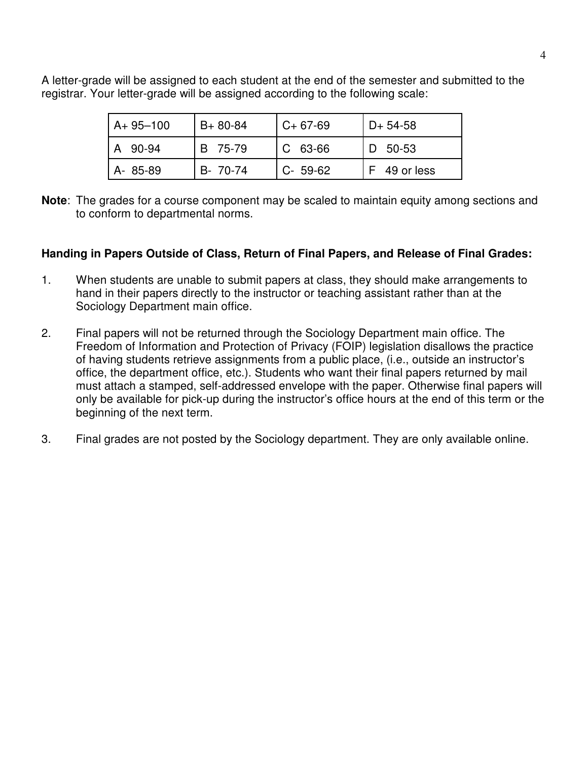A letter-grade will be assigned to each student at the end of the semester and submitted to the registrar. Your letter-grade will be assigned according to the following scale:

| $A + 95 - 100$ | $B + 80 - 84$ | $C+67-69$   | $D+ 54-58$ |
|----------------|---------------|-------------|------------|
| 90-94          | B 75-79       | $C$ 63-66   | - 50-53    |
| A-85-89        | B- 70-74      | $C - 59-62$ | 49 or less |

**Note**: The grades for a course component may be scaled to maintain equity among sections and to conform to departmental norms.

#### **Handing in Papers Outside of Class, Return of Final Papers, and Release of Final Grades:**

- 1. When students are unable to submit papers at class, they should make arrangements to hand in their papers directly to the instructor or teaching assistant rather than at the Sociology Department main office.
- 2. Final papers will not be returned through the Sociology Department main office. The Freedom of Information and Protection of Privacy (FOIP) legislation disallows the practice of having students retrieve assignments from a public place, (i.e., outside an instructor's office, the department office, etc.). Students who want their final papers returned by mail must attach a stamped, self-addressed envelope with the paper. Otherwise final papers will only be available for pick-up during the instructor's office hours at the end of this term or the beginning of the next term.
- 3. Final grades are not posted by the Sociology department. They are only available online.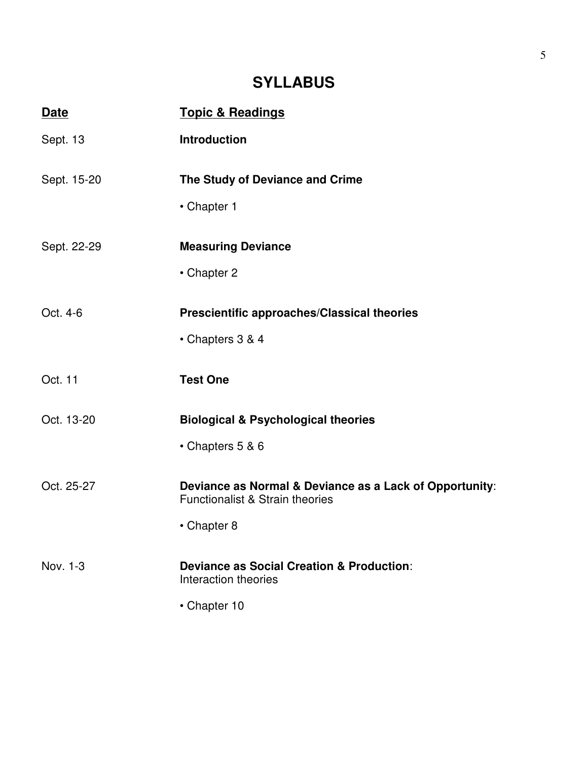# **SYLLABUS**

| <b>Date</b> | <b>Topic &amp; Readings</b>                                                  |
|-------------|------------------------------------------------------------------------------|
| Sept. 13    | <b>Introduction</b>                                                          |
| Sept. 15-20 | The Study of Deviance and Crime                                              |
|             | • Chapter 1                                                                  |
| Sept. 22-29 | <b>Measuring Deviance</b>                                                    |
|             | • Chapter 2                                                                  |
| Oct. 4-6    | Prescientific approaches/Classical theories                                  |
|             | • Chapters 3 & 4                                                             |
| Oct. 11     | <b>Test One</b>                                                              |
| Oct. 13-20  | <b>Biological &amp; Psychological theories</b>                               |
|             | • Chapters 5 & 6                                                             |
| Oct. 25-27  | Deviance as Normal & Deviance as a Lack of Opportunity:                      |
|             | <b>Functionalist &amp; Strain theories</b>                                   |
|             | • Chapter 8                                                                  |
| Nov. 1-3    | <b>Deviance as Social Creation &amp; Production:</b><br>Interaction theories |